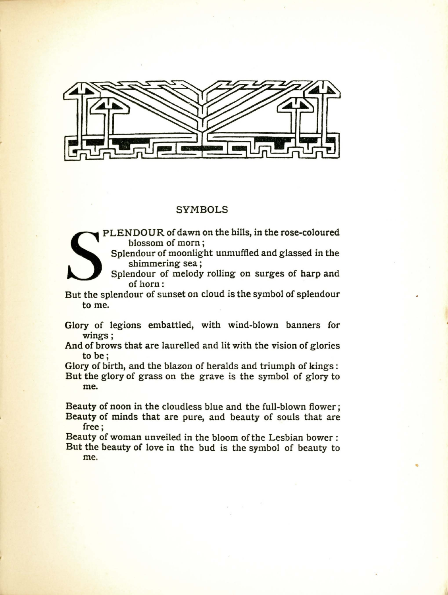

## SYMBOLS



PLENDOUR of dawn on the hills, in the rose-coloured blossom of morn ;

PLENDOUK of dawn on the hills, in the rose-coloured<br>blossom of morn;<br>Splendour of moonlight unmuffled and glassed in the<br>shimmering sea;<br>Splendour of melody rolling on surges of harp and<br>of horn:<br>But the splendour of sunse Splendour of moonlight unmuffled and glassed in the shimmering sea;

Splendour of melody rolling on surges of harp and of horn :

to me.

Glory of legions embattled, with wind-blown banners for wings;

And of brows that are laurelled and lit with the vision of glories to be;

Glory of birth, and the blazon of heralds and triumph of kings:

But the glory of grass on the grave is the symbol of glory to me.

Beauty of noon in the cloudless blue and the full-blown flower; Beauty of minds that are pure, and beauty of souls that are free;

Beauty of woman unveiled in the bloom of the Lesbian bower: But the beauty of love in the bud is the symbol of beauty to me. me.